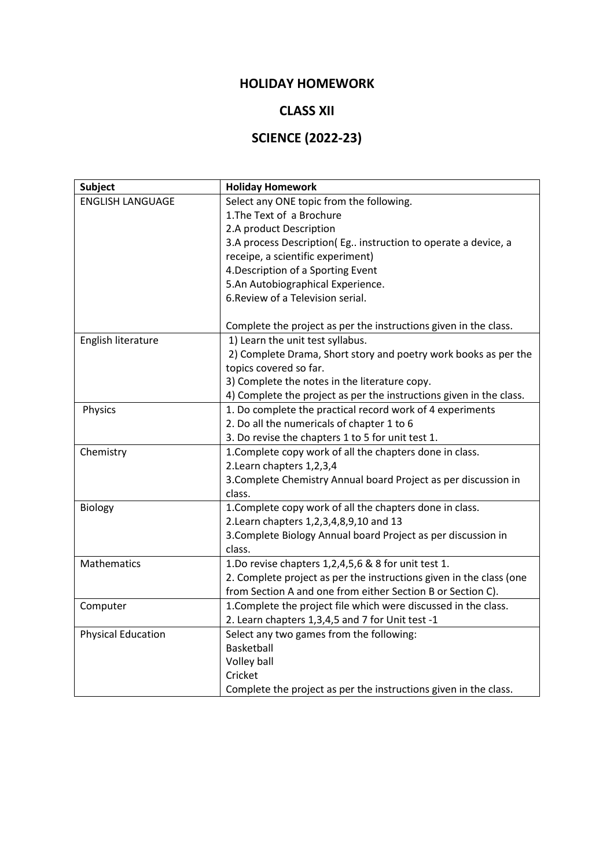## **HOLIDAY HOMEWORK**

## **CLASS XII**

# **SCIENCE (2022-23)**

| <b>Subject</b>            | <b>Holiday Homework</b>                                             |
|---------------------------|---------------------------------------------------------------------|
| <b>ENGLISH LANGUAGE</b>   | Select any ONE topic from the following.                            |
|                           | 1. The Text of a Brochure                                           |
|                           | 2.A product Description                                             |
|                           | 3.A process Description(Eg instruction to operate a device, a       |
|                           | receipe, a scientific experiment)                                   |
|                           | 4. Description of a Sporting Event                                  |
|                           | 5.An Autobiographical Experience.                                   |
|                           | 6. Review of a Television serial.                                   |
|                           |                                                                     |
|                           | Complete the project as per the instructions given in the class.    |
| English literature        | 1) Learn the unit test syllabus.                                    |
|                           | 2) Complete Drama, Short story and poetry work books as per the     |
|                           | topics covered so far.                                              |
|                           | 3) Complete the notes in the literature copy.                       |
|                           | 4) Complete the project as per the instructions given in the class. |
| Physics                   | 1. Do complete the practical record work of 4 experiments           |
|                           | 2. Do all the numericals of chapter 1 to 6                          |
|                           | 3. Do revise the chapters 1 to 5 for unit test 1.                   |
| Chemistry                 | 1. Complete copy work of all the chapters done in class.            |
|                           | 2. Learn chapters 1, 2, 3, 4                                        |
|                           | 3. Complete Chemistry Annual board Project as per discussion in     |
|                           | class.                                                              |
| <b>Biology</b>            | 1. Complete copy work of all the chapters done in class.            |
|                           | 2. Learn chapters 1, 2, 3, 4, 8, 9, 10 and 13                       |
|                           | 3. Complete Biology Annual board Project as per discussion in       |
|                           | class.                                                              |
| <b>Mathematics</b>        | 1.Do revise chapters 1,2,4,5,6 & 8 for unit test 1.                 |
|                           | 2. Complete project as per the instructions given in the class (one |
|                           | from Section A and one from either Section B or Section C).         |
| Computer                  | 1. Complete the project file which were discussed in the class.     |
|                           | 2. Learn chapters 1,3,4,5 and 7 for Unit test -1                    |
| <b>Physical Education</b> | Select any two games from the following:                            |
|                           | Basketball                                                          |
|                           | Volley ball                                                         |
|                           | Cricket                                                             |
|                           | Complete the project as per the instructions given in the class.    |